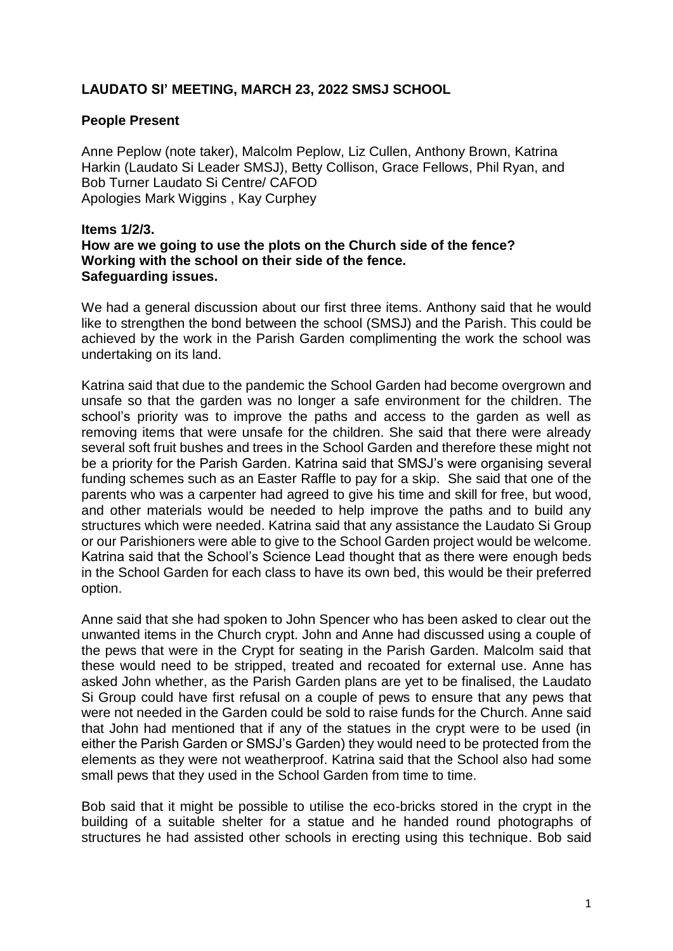## **LAUDATO SI' MEETING, MARCH 23, 2022 SMSJ SCHOOL**

#### **People Present**

Anne Peplow (note taker), Malcolm Peplow, Liz Cullen, Anthony Brown, Katrina Harkin (Laudato Si Leader SMSJ), Betty Collison, Grace Fellows, Phil Ryan, and Bob Turner Laudato Si Centre/ CAFOD Apologies Mark Wiggins , Kay Curphey

#### **Items 1/2/3. How are we going to use the plots on the Church side of the fence? Working with the school on their side of the fence. Safeguarding issues.**

We had a general discussion about our first three items. Anthony said that he would like to strengthen the bond between the school (SMSJ) and the Parish. This could be achieved by the work in the Parish Garden complimenting the work the school was undertaking on its land.

Katrina said that due to the pandemic the School Garden had become overgrown and unsafe so that the garden was no longer a safe environment for the children. The school's priority was to improve the paths and access to the garden as well as removing items that were unsafe for the children. She said that there were already several soft fruit bushes and trees in the School Garden and therefore these might not be a priority for the Parish Garden. Katrina said that SMSJ's were organising several funding schemes such as an Easter Raffle to pay for a skip. She said that one of the parents who was a carpenter had agreed to give his time and skill for free, but wood, and other materials would be needed to help improve the paths and to build any structures which were needed. Katrina said that any assistance the Laudato Si Group or our Parishioners were able to give to the School Garden project would be welcome. Katrina said that the School's Science Lead thought that as there were enough beds in the School Garden for each class to have its own bed, this would be their preferred option.

Anne said that she had spoken to John Spencer who has been asked to clear out the unwanted items in the Church crypt. John and Anne had discussed using a couple of the pews that were in the Crypt for seating in the Parish Garden. Malcolm said that these would need to be stripped, treated and recoated for external use. Anne has asked John whether, as the Parish Garden plans are yet to be finalised, the Laudato Si Group could have first refusal on a couple of pews to ensure that any pews that were not needed in the Garden could be sold to raise funds for the Church. Anne said that John had mentioned that if any of the statues in the crypt were to be used (in either the Parish Garden or SMSJ's Garden) they would need to be protected from the elements as they were not weatherproof. Katrina said that the School also had some small pews that they used in the School Garden from time to time.

Bob said that it might be possible to utilise the eco-bricks stored in the crypt in the building of a suitable shelter for a statue and he handed round photographs of structures he had assisted other schools in erecting using this technique. Bob said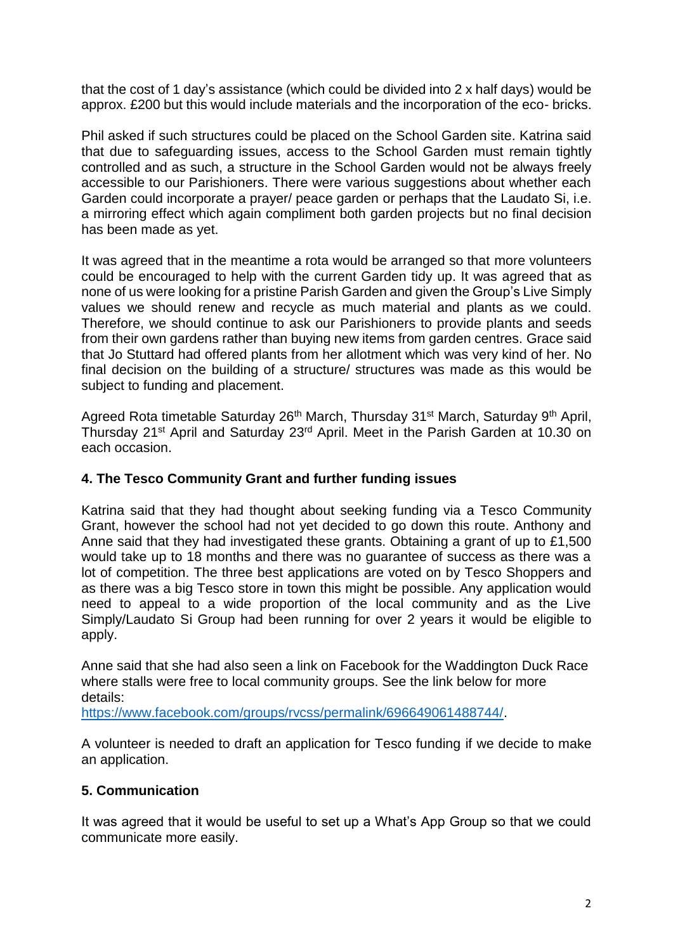that the cost of 1 day's assistance (which could be divided into 2 x half days) would be approx. £200 but this would include materials and the incorporation of the eco- bricks.

Phil asked if such structures could be placed on the School Garden site. Katrina said that due to safeguarding issues, access to the School Garden must remain tightly controlled and as such, a structure in the School Garden would not be always freely accessible to our Parishioners. There were various suggestions about whether each Garden could incorporate a prayer/ peace garden or perhaps that the Laudato Si, i.e. a mirroring effect which again compliment both garden projects but no final decision has been made as yet.

It was agreed that in the meantime a rota would be arranged so that more volunteers could be encouraged to help with the current Garden tidy up. It was agreed that as none of us were looking for a pristine Parish Garden and given the Group's Live Simply values we should renew and recycle as much material and plants as we could. Therefore, we should continue to ask our Parishioners to provide plants and seeds from their own gardens rather than buying new items from garden centres. Grace said that Jo Stuttard had offered plants from her allotment which was very kind of her. No final decision on the building of a structure/ structures was made as this would be subject to funding and placement.

Agreed Rota timetable Saturday 26<sup>th</sup> March, Thursday 31<sup>st</sup> March, Saturday 9<sup>th</sup> April, Thursday 21<sup>st</sup> April and Saturday 23<sup>rd</sup> April. Meet in the Parish Garden at 10.30 on each occasion.

#### **4. The Tesco Community Grant and further funding issues**

Katrina said that they had thought about seeking funding via a Tesco Community Grant, however the school had not yet decided to go down this route. Anthony and Anne said that they had investigated these grants. Obtaining a grant of up to £1,500 would take up to 18 months and there was no guarantee of success as there was a lot of competition. The three best applications are voted on by Tesco Shoppers and as there was a big Tesco store in town this might be possible. Any application would need to appeal to a wide proportion of the local community and as the Live Simply/Laudato Si Group had been running for over 2 years it would be eligible to apply.

Anne said that she had also seen a link on Facebook for the Waddington Duck Race where stalls were free to local community groups. See the link below for more details:

[https://www.facebook.com/groups/rvcss/permalink/696649061488744/.](https://www.facebook.com/groups/rvcss/permalink/696649061488744/)

A volunteer is needed to draft an application for Tesco funding if we decide to make an application.

## **5. Communication**

It was agreed that it would be useful to set up a What's App Group so that we could communicate more easily.